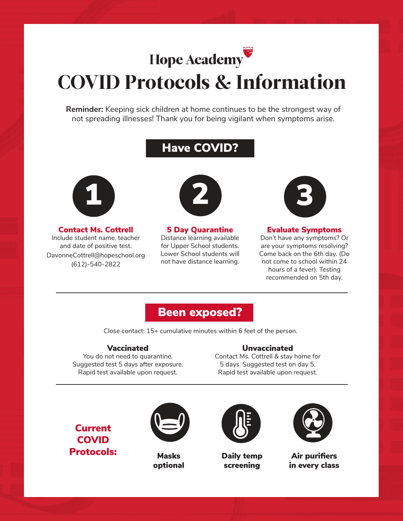

# COVID Protocols & Information

**Reminder:** Keeping sick children at home continues to be the strongest way of not spreading illnesses! Thank you for being vigilant when symptoms arise.

## Have COVID?



Contact Ms. Cottrell Include student name, teacher and date of positive test. DavonneCottrell@hopeschool.org (612)-540-2822



5 Day Quarantine Distance learning available for Upper School students. Lower School students will not have distance learning.



#### Evaluate Symptoms

Don't have any symptoms? Or are your symptoms resolving? Come back on the 6th day. (Do not come to school within 24 hours of a fever). Testing recommended on 5th day.

### Been exposed?

Close contact: 15+ cumulative minutes within 6 feet of the person.

#### Vaccinated

You do not need to quarantine. Suggested test 5 days after exposure. Rapid test available upon request.

#### Unvaccinated

Contact Ms. Cottrell & stay home for 5 days. Suggested test on day 5. Rapid test available upon request.

Current **COVID** Protocols:



Masks optional



Daily temp screening



Air purifiers in every class